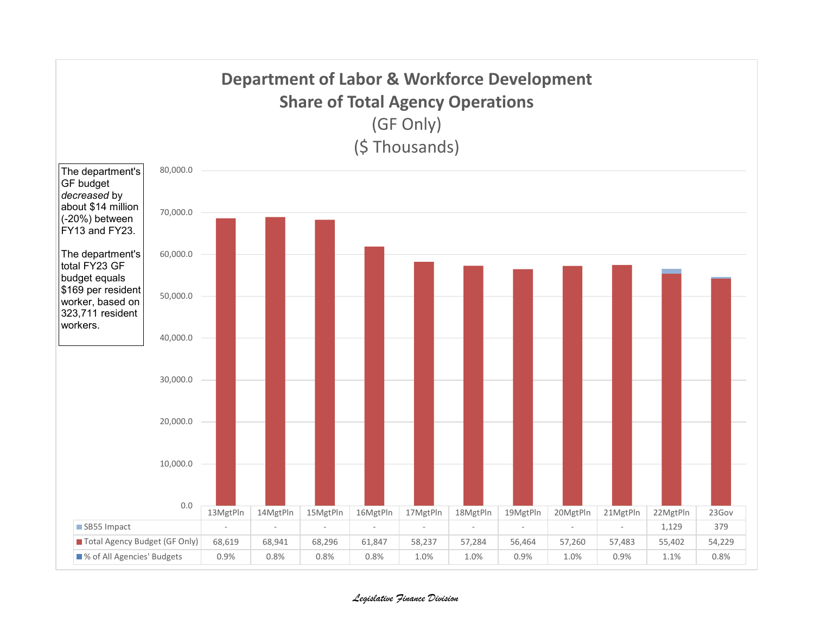

*Legislative Finance Division*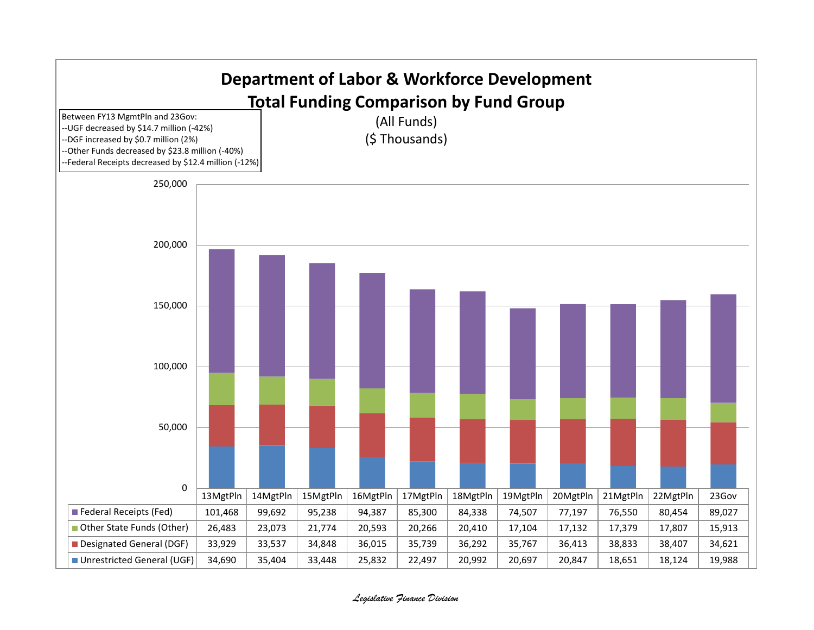